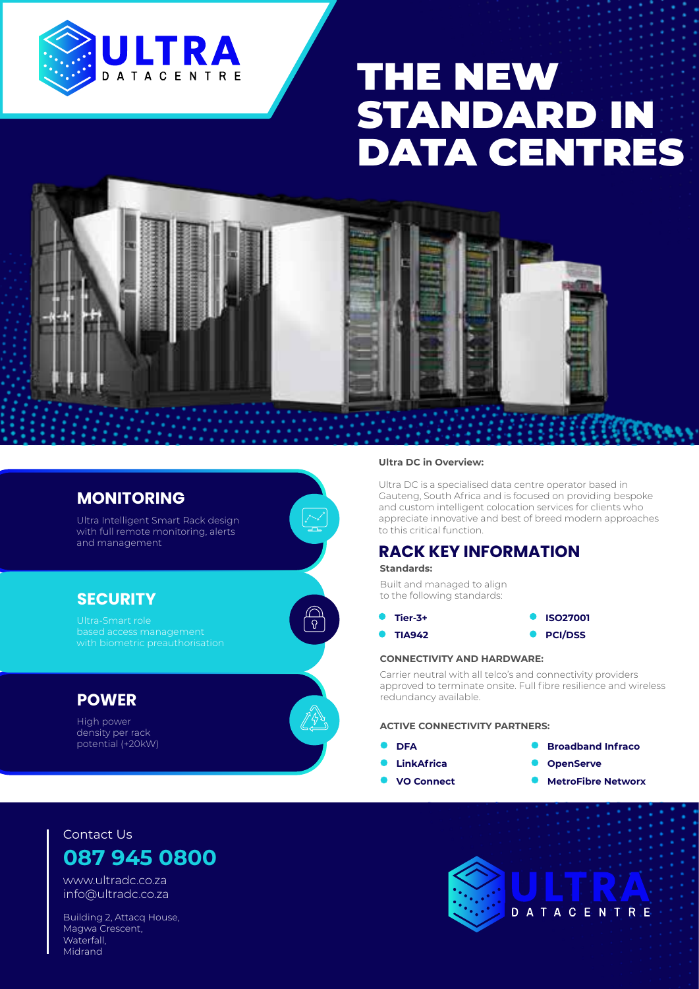

# THE NEW STANDARD IN DATA CENTRES



இ

### **MONITORING**

Ultra Intelligent Smart Rack design with full remote monitoring, alerts and management

### **SECURITY**

## **POWER**

High power density per rack potential (+20kW)

#### **Ultra DC in Overview:**

Ultra DC is a specialised data centre operator based in Gauteng, South Africa and is focused on providing bespoke and custom intelligent colocation services for clients who appreciate innovative and best of breed modern approaches to this critical function.

## **RACK KEY INFORMATION**

**Standards:**

Built and managed to align to the following standards:

- **Tier-3+ ISO27001**
- **C** TIA942 **C** PCI/DSS

#### **CONNECTIVITY AND HARDWARE:**

Carrier neutral with all telco's and connectivity providers approved to terminate onsite. Full fibre resilience and wireless redundancy available.

#### **ACTIVE CONNECTIVITY PARTNERS:**

- ä
- 
- 
- **DFA Broadband Infraco**
- **LinkAfrica OpenServe**
- **VO Connect MetroFibre Networx**

# Contact Us **087 945 0800**

www.ultradc.co.za info@ultradc.co.za

Building 2, Attacq House, Magwa Crescent, Waterfall, Midrand